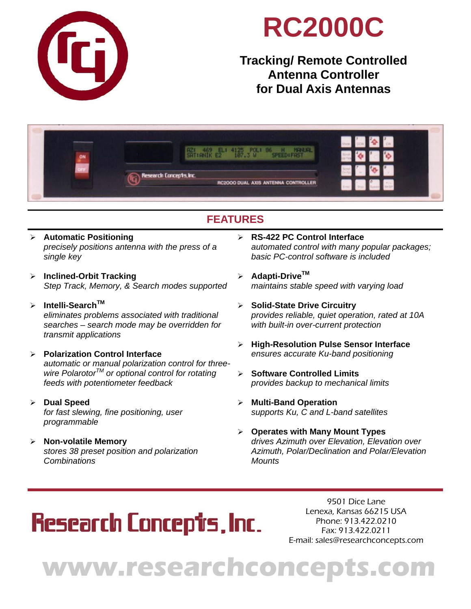

## **RC2000C**

### **Tracking/ Remote Controlled Antenna Controller for Dual Axis Antennas**



### **FEATURES**

- **Automatic Positioning**  *precisely positions antenna with the press of a single key*
- **Inclined-Orbit Tracking**  *Step Track, Memory, & Search modes supported*
- **Intelli-SearchTM** *eliminates problems associated with traditional searches – search mode may be overridden for transmit applications*
- **Polarization Control Interface**  *automatic or manual polarization control for three wire PolarotorTM or optional control for rotating feeds with potentiometer feedback*
- **Dual Speed**  *for fast slewing, fine positioning, user programmable*
- **Non-volatile Memory**  *stores 38 preset position and polarization Combinations*
- **RS-422 PC Control Interface**  *automated control with many popular packages; basic PC-control software is included*
- **Adapti-DriveTM** *maintains stable speed with varying load*
- **Solid-State Drive Circuitry**  *provides reliable, quiet operation, rated at 10A with built-in over-current protection*
- **High-Resolution Pulse Sensor Interface**  *ensures accurate Ku-band positioning*
- **Software Controlled Limits**  *provides backup to mechanical limits*
- **Multi-Band Operation**  *supports Ku, C and L-band satellites*
- **Operates with Many Mount Types**  *drives Azimuth over Elevation, Elevation over Azimuth, Polar/Declination and Polar/Elevation Mounts*

## **Research Concepts, Inc.**

9501 Dice Lane Lenexa, Kansas 66215 USA Phone: 913.422.0210 Fax: 913.422.0211 E-mail: sales@researchconcepts.com

# **www.researchconcepts.com**